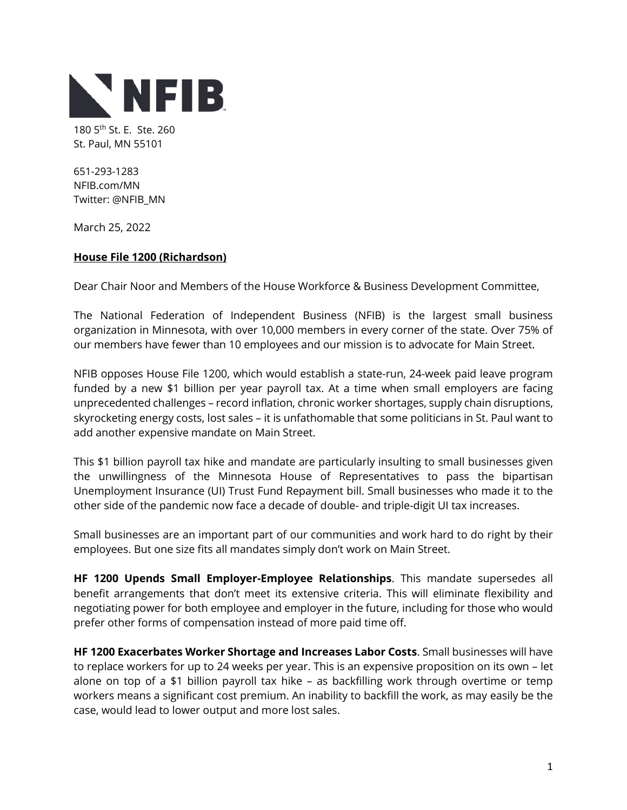

180 5<sup>th</sup> St. E. Ste. 260 St. Paul, MN 55101

651-293-1283 NFIB.com/MN Twitter: @NFIB\_MN

March 25, 2022

## **House File 1200 (Richardson)**

Dear Chair Noor and Members of the House Workforce & Business Development Committee,

The National Federation of Independent Business (NFIB) is the largest small business organization in Minnesota, with over 10,000 members in every corner of the state. Over 75% of our members have fewer than 10 employees and our mission is to advocate for Main Street.

NFIB opposes House File 1200, which would establish a state-run, 24-week paid leave program funded by a new \$1 billion per year payroll tax. At a time when small employers are facing unprecedented challenges – record inflation, chronic worker shortages, supply chain disruptions, skyrocketing energy costs, lost sales – it is unfathomable that some politicians in St. Paul want to add another expensive mandate on Main Street.

This \$1 billion payroll tax hike and mandate are particularly insulting to small businesses given the unwillingness of the Minnesota House of Representatives to pass the bipartisan Unemployment Insurance (UI) Trust Fund Repayment bill. Small businesses who made it to the other side of the pandemic now face a decade of double- and triple-digit UI tax increases.

Small businesses are an important part of our communities and work hard to do right by their employees. But one size fits all mandates simply don't work on Main Street.

**HF 1200 Upends Small Employer-Employee Relationships**. This mandate supersedes all benefit arrangements that don't meet its extensive criteria. This will eliminate flexibility and negotiating power for both employee and employer in the future, including for those who would prefer other forms of compensation instead of more paid time off.

**HF 1200 Exacerbates Worker Shortage and Increases Labor Costs**. Small businesses will have to replace workers for up to 24 weeks per year. This is an expensive proposition on its own – let alone on top of a \$1 billion payroll tax hike – as backfilling work through overtime or temp workers means a significant cost premium. An inability to backfill the work, as may easily be the case, would lead to lower output and more lost sales.